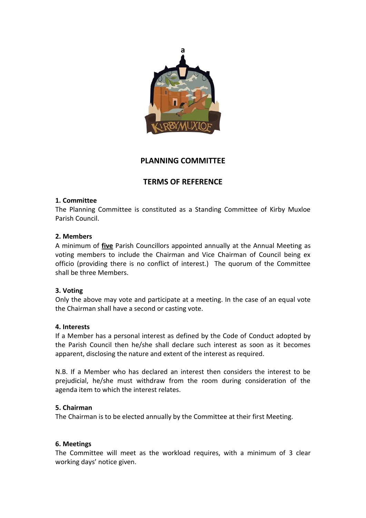

## **PLANNING COMMITTEE**

# **TERMS OF REFERENCE**

#### **1. Committee**

The Planning Committee is constituted as a Standing Committee of Kirby Muxloe Parish Council.

#### **2. Members**

A minimum of **five** Parish Councillors appointed annually at the Annual Meeting as voting members to include the Chairman and Vice Chairman of Council being ex officio (providing there is no conflict of interest.) The quorum of the Committee shall be three Members.

## **3. Voting**

Only the above may vote and participate at a meeting. In the case of an equal vote the Chairman shall have a second or casting vote.

#### **4. Interests**

If a Member has a personal interest as defined by the Code of Conduct adopted by the Parish Council then he/she shall declare such interest as soon as it becomes apparent, disclosing the nature and extent of the interest as required.

N.B. If a Member who has declared an interest then considers the interest to be prejudicial, he/she must withdraw from the room during consideration of the agenda item to which the interest relates.

## **5. Chairman**

The Chairman is to be elected annually by the Committee at their first Meeting.

## **6. Meetings**

The Committee will meet as the workload requires, with a minimum of 3 clear working days' notice given.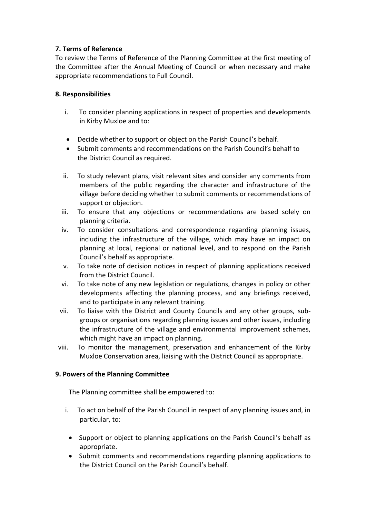## **7. Terms of Reference**

To review the Terms of Reference of the Planning Committee at the first meeting of the Committee after the Annual Meeting of Council or when necessary and make appropriate recommendations to Full Council.

## **8. Responsibilities**

- i. To consider planning applications in respect of properties and developments in Kirby Muxloe and to:
- Decide whether to support or object on the Parish Council's behalf.
- Submit comments and recommendations on the Parish Council's behalf to the District Council as required.
- ii. To study relevant plans, visit relevant sites and consider any comments from members of the public regarding the character and infrastructure of the village before deciding whether to submit comments or recommendations of support or objection.
- iii. To ensure that any objections or recommendations are based solely on planning criteria.
- iv. To consider consultations and correspondence regarding planning issues, including the infrastructure of the village, which may have an impact on planning at local, regional or national level, and to respond on the Parish Council's behalf as appropriate.
- v. To take note of decision notices in respect of planning applications received from the District Council.
- vi. To take note of any new legislation or regulations, changes in policy or other developments affecting the planning process, and any briefings received, and to participate in any relevant training.
- vii. To liaise with the District and County Councils and any other groups, subgroups or organisations regarding planning issues and other issues, including the infrastructure of the village and environmental improvement schemes, which might have an impact on planning.
- viii. To monitor the management, preservation and enhancement of the Kirby Muxloe Conservation area, liaising with the District Council as appropriate.

## **9. Powers of the Planning Committee**

The Planning committee shall be empowered to:

- i. To act on behalf of the Parish Council in respect of any planning issues and, in particular, to:
	- Support or object to planning applications on the Parish Council's behalf as appropriate.
	- Submit comments and recommendations regarding planning applications to the District Council on the Parish Council's behalf.